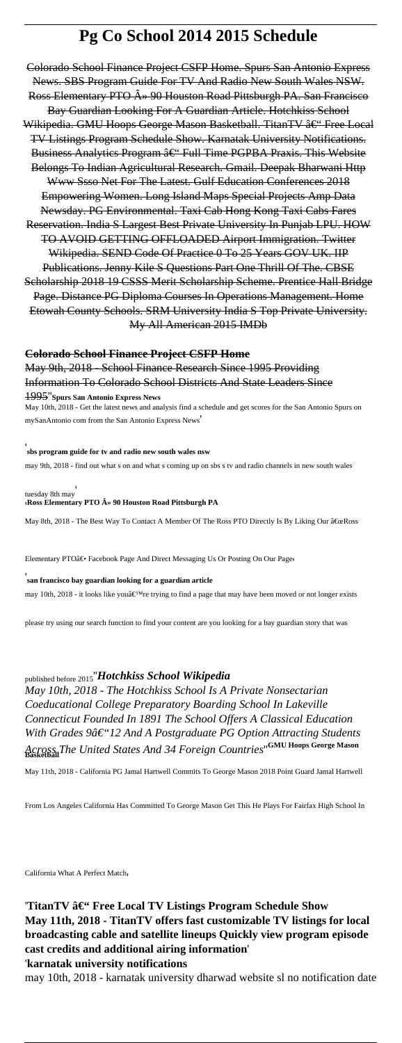# **Pg Co School 2014 2015 Schedule**

Colorado School Finance Project CSFP Home. Spurs San Antonio Express News. SBS Program Guide For TV And Radio New South Wales NSW. Ross Elementary PTO  $\hat{A}$ » 90 Houston Road Pittsburgh PA. San Francisco Bay Guardian Looking For A Guardian Article. Hotchkiss School Wikipedia. GMU Hoops George Mason Basketball. TitanTV – Free Local TV Listings Program Schedule Show. Karnatak University Notifications. Business Analytics Program â 
ightarial Time PGPBA Praxis. This Website Belongs To Indian Agricultural Research. Gmail. Deepak Bharwani Http Www Ssso Net For The Latest. Gulf Education Conferences 2018 Empowering Women. Long Island Maps Special Projects Amp Data Newsday. PG Environmental. Taxi Cab Hong Kong Taxi Cabs Fares Reservation. India S Largest Best Private University In Punjab LPU. HOW TO AVOID GETTING OFFLOADED Airport Immigration. Twitter Wikipedia. SEND Code Of Practice 0 To 25 Years GOV UK. IIP Publications. Jenny Kile S Questions Part One Thrill Of The. CBSE Scholarship 2018 19 CSSS Merit Scholarship Scheme. Prentice Hall Bridge Page. Distance PG Diploma Courses In Operations Management. Home Etowah County Schools. SRM University India S Top Private University. My All American 2015 IMDb

### **Colorado School Finance Project CSFP Home**

## May 9th, 2018 - School Finance Research Since 1995 Providing Information To Colorado School Districts And State Leaders Since

### 1995''**Spurs San Antonio Express News**

May 10th, 2018 - Get the latest news and analysis find a schedule and get scores for the San Antonio Spurs on mySanAntonio com from the San Antonio Express News'

## 'TitanTV â€" Free Local TV Listings Program Schedule Show **May 11th, 2018 - TitanTV offers fast customizable TV listings for local broadcasting cable and satellite lineups Quickly view program episode cast credits and additional airing information**' '**karnatak university notifications**

#### '**sbs program guide for tv and radio new south wales nsw**

may 9th, 2018 - find out what s on and what s coming up on sbs s tv and radio channels in new south wales

### tuesday 8th may' '**Ross Elementary PTO » 90 Houston Road Pittsburgh PA**

May 8th, 2018 - The Best Way To Contact A Member Of The Ross PTO Directly Is By Liking Our "Ross

Elementary PTO― Facebook Page And Direct Messaging Us Or Posting On Our Page

'

may 10th, 2018 - it looks like you a  $\varepsilon^{TM}$ re trying to find a page that may have been moved or not longer exists

### **san francisco bay guardian looking for a guardian article**

please try using our search function to find your content are you looking for a bay guardian story that was

### published before 2015''*Hotchkiss School Wikipedia*

*May 10th, 2018 - The Hotchkiss School Is A Private Nonsectarian Coeducational College Preparatory Boarding School In Lakeville Connecticut Founded In 1891 The School Offers A Classical Education With Grades 9â€*"12 And A Postgraduate PG Option Attracting Students *Across The United States And 34 Foreign Countries*''**GMU Hoops George Mason Basketball**

May 11th, 2018 - California PG Jamal Hartwell Commits To George Mason 2018 Point Guard Jamal Hartwell

From Los Angeles California Has Committed To George Mason Get This He Plays For Fairfax High School In

California What A Perfect Match'

may 10th, 2018 - karnatak university dharwad website sl no notification date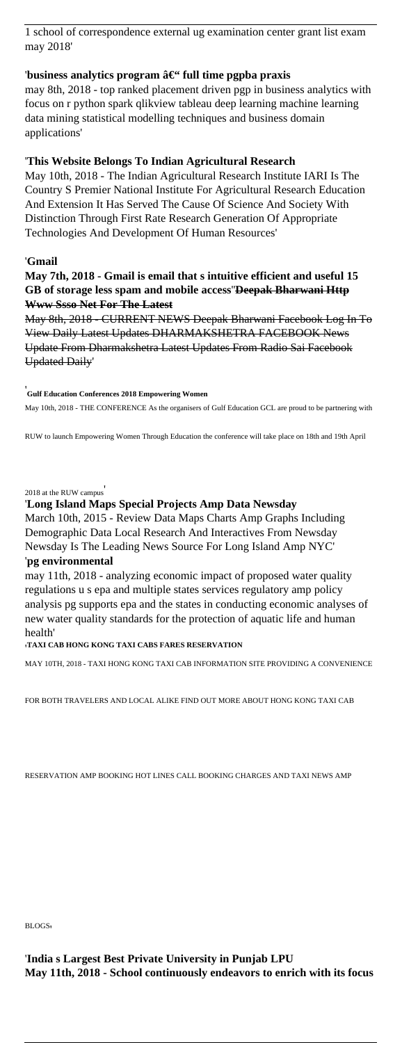1 school of correspondence external ug examination center grant list exam may 2018'

### 'business analytics program â€" full time pgpba praxis

may 8th, 2018 - top ranked placement driven pgp in business analytics with focus on r python spark qlikview tableau deep learning machine learning data mining statistical modelling techniques and business domain applications'

### '**This Website Belongs To Indian Agricultural Research**

May 10th, 2018 - The Indian Agricultural Research Institute IARI Is The Country S Premier National Institute For Agricultural Research Education And Extension It Has Served The Cause Of Science And Society With Distinction Through First Rate Research Generation Of Appropriate Technologies And Development Of Human Resources'

### '**Gmail**

### **May 7th, 2018 - Gmail is email that s intuitive efficient and useful 15 GB of storage less spam and mobile access**''**Deepak Bharwani Http Www Ssso Net For The Latest**

May 8th, 2018 - CURRENT NEWS Deepak Bharwani Facebook Log In To View Daily Latest Updates DHARMAKSHETRA FACEBOOK News Update From Dharmakshetra Latest Updates From Radio Sai Facebook Updated Daily'

#### '**Gulf Education Conferences 2018 Empowering Women**

May 10th, 2018 - THE CONFERENCE As the organisers of Gulf Education GCL are proud to be partnering with

RUW to launch Empowering Women Through Education the conference will take place on 18th and 19th April

### 2018 at the RUW campus'

### '**Long Island Maps Special Projects Amp Data Newsday**

March 10th, 2015 - Review Data Maps Charts Amp Graphs Including Demographic Data Local Research And Interactives From Newsday Newsday Is The Leading News Source For Long Island Amp NYC' '**pg environmental**

## may 11th, 2018 - analyzing economic impact of proposed water quality regulations u s epa and multiple states services regulatory amp policy analysis pg supports epa and the states in conducting economic analyses of new water quality standards for the protection of aquatic life and human health'

### '**TAXI CAB HONG KONG TAXI CABS FARES RESERVATION**

MAY 10TH, 2018 - TAXI HONG KONG TAXI CAB INFORMATION SITE PROVIDING A CONVENIENCE

FOR BOTH TRAVELERS AND LOCAL ALIKE FIND OUT MORE ABOUT HONG KONG TAXI CAB

BLOGS.

'**India s Largest Best Private University in Punjab LPU May 11th, 2018 - School continuously endeavors to enrich with its focus**